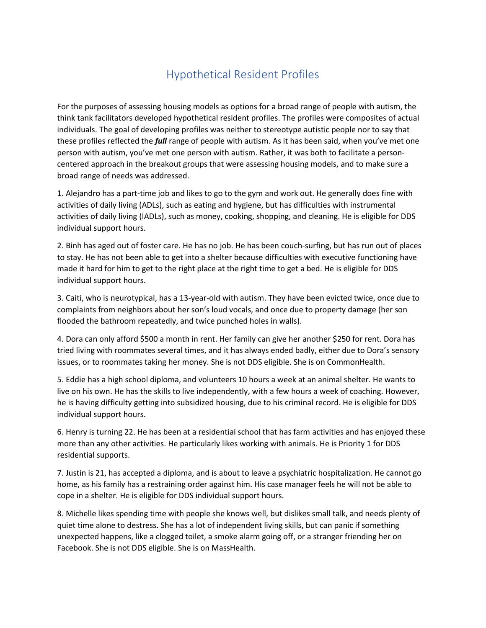## Hypothetical Resident Profiles

For the purposes of assessing housing models as options for a broad range of people with autism, the think tank facilitators developed hypothetical resident profiles. The profiles were composites of actual individuals. The goal of developing profiles was neither to stereotype autistic people nor to say that these profiles reflected the *full* range of people with autism. As it has been said, when you've met one person with autism, you've met one person with autism. Rather, it was both to facilitate a personcentered approach in the breakout groups that were assessing housing models, and to make sure a broad range of needs was addressed.

1. Alejandro has a part-time job and likes to go to the gym and work out. He generally does fine with activities of daily living (ADLs), such as eating and hygiene, but has difficulties with instrumental activities of daily living (IADLs), such as money, cooking, shopping, and cleaning. He is eligible for DDS individual support hours.

2. Binh has aged out of foster care. He has no job. He has been couch-surfing, but has run out of places to stay. He has not been able to get into a shelter because difficulties with executive functioning have made it hard for him to get to the right place at the right time to get a bed. He is eligible for DDS individual support hours.

3. Caiti, who is neurotypical, has a 13-year-old with autism. They have been evicted twice, once due to complaints from neighbors about her son's loud vocals, and once due to property damage (her son flooded the bathroom repeatedly, and twice punched holes in walls).

4. Dora can only afford \$500 a month in rent. Her family can give her another \$250 for rent. Dora has tried living with roommates several times, and it has always ended badly, either due to Dora's sensory issues, or to roommates taking her money. She is not DDS eligible. She is on CommonHealth.

5. Eddie has a high school diploma, and volunteers 10 hours a week at an animal shelter. He wants to live on his own. He has the skills to live independently, with a few hours a week of coaching. However, he is having difficulty getting into subsidized housing, due to his criminal record. He is eligible for DDS individual support hours.

6. Henry is turning 22. He has been at a residential school that has farm activities and has enjoyed these more than any other activities. He particularly likes working with animals. He is Priority 1 for DDS residential supports.

7. Justin is 21, has accepted a diploma, and is about to leave a psychiatric hospitalization. He cannot go home, as his family has a restraining order against him. His case manager feels he will not be able to cope in a shelter. He is eligible for DDS individual support hours.

8. Michelle likes spending time with people she knows well, but dislikes small talk, and needs plenty of quiet time alone to destress. She has a lot of independent living skills, but can panic if something unexpected happens, like a clogged toilet, a smoke alarm going off, or a stranger friending her on Facebook. She is not DDS eligible. She is on MassHealth.